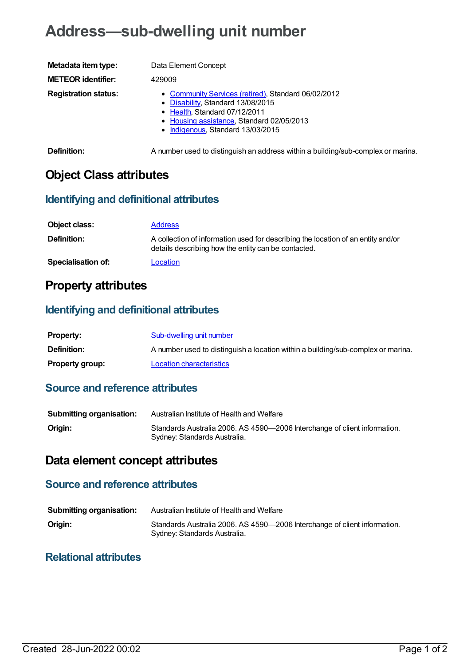# **Address—sub-dwelling unit number**

| Metadata item type:         | Data Element Concept                                                                                                                                                                                        |
|-----------------------------|-------------------------------------------------------------------------------------------------------------------------------------------------------------------------------------------------------------|
| <b>METEOR identifier:</b>   | 429009                                                                                                                                                                                                      |
| <b>Registration status:</b> | • Community Services (retired), Standard 06/02/2012<br>• Disability, Standard 13/08/2015<br>• Health, Standard 07/12/2011<br>• Housing assistance, Standard 02/05/2013<br>• Indigenous, Standard 13/03/2015 |
| Definition:                 | A number used to distinguish an address within a building/sub-complex or marina.                                                                                                                            |

**Object Class attributes**

#### **Identifying and definitional attributes**

| Object class:             | <b>Address</b>                                                                                                                          |
|---------------------------|-----------------------------------------------------------------------------------------------------------------------------------------|
| <b>Definition:</b>        | A collection of information used for describing the location of an entity and/or<br>details describing how the entity can be contacted. |
| <b>Specialisation of:</b> | Location                                                                                                                                |

### **Property attributes**

#### **Identifying and definitional attributes**

| <b>Property:</b>       | Sub-dwelling unit number                                                         |
|------------------------|----------------------------------------------------------------------------------|
| Definition:            | A number used to distinguish a location within a building/sub-complex or marina. |
| <b>Property group:</b> | Location characteristics                                                         |

#### **Source and reference attributes**

| <b>Submitting organisation:</b> | Australian Institute of Health and Welfare                                                                |
|---------------------------------|-----------------------------------------------------------------------------------------------------------|
| Origin:                         | Standards Australia 2006. AS 4590-2006 Interchange of client information.<br>Sydney: Standards Australia. |

## **Data element concept attributes**

### **Source and reference attributes**

| <b>Submitting organisation:</b> | Australian Institute of Health and Welfare                                                                |
|---------------------------------|-----------------------------------------------------------------------------------------------------------|
| Origin:                         | Standards Australia 2006. AS 4590-2006 Interchange of client information.<br>Sydney: Standards Australia. |

#### **Relational attributes**